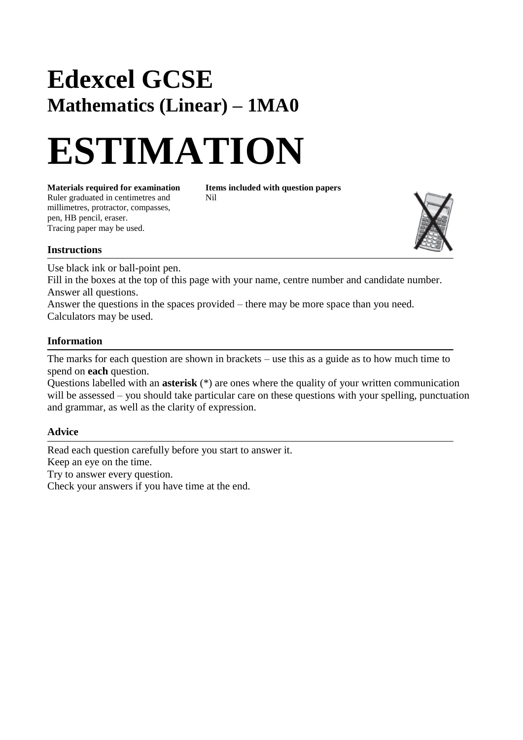## **Edexcel GCSE Mathematics (Linear) – 1MA0**

# **ESTIMATION**

**Materials required for examination Items included with question papers**<br>Ruler graduated in centimetres and **Nil** Ruler graduated in centimetres and millimetres, protractor, compasses, pen, HB pencil, eraser. Tracing paper may be used.



#### **Instructions**

Use black ink or ball-point pen.

Fill in the boxes at the top of this page with your name, centre number and candidate number. Answer all questions.

Answer the questions in the spaces provided – there may be more space than you need. Calculators may be used.

#### **Information**

The marks for each question are shown in brackets – use this as a guide as to how much time to spend on **each** question.

Questions labelled with an **asterisk** (\*) are ones where the quality of your written communication will be assessed – you should take particular care on these questions with your spelling, punctuation and grammar, as well as the clarity of expression.

### **Advice**

Read each question carefully before you start to answer it. Keep an eye on the time. Try to answer every question. Check your answers if you have time at the end.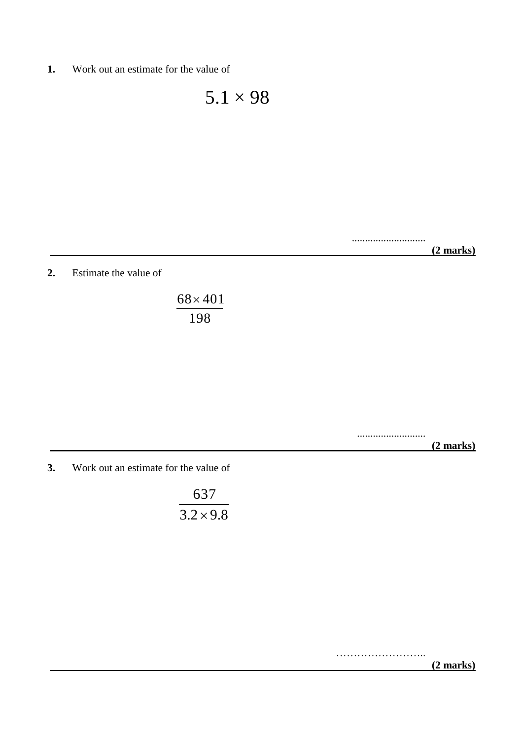**1.** Work out an estimate for the value of

 $5.1 \times 98$ 

............................  **(2 marks)**

**2.** Estimate the value of

198  $68 \times 401$ 

> ..........................  **(2 marks)**

**3.** Work out an estimate for the value of

 $3.2 \times 9.8$ 637

> ……………………………  **(2 marks)**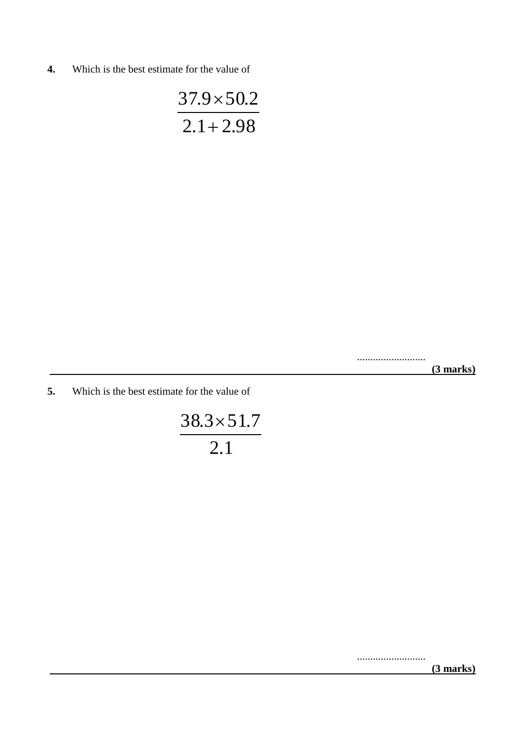**4.** Which is the best estimate for the value of

 $2.1 + 2.98$  $37.9 \times 50.2$  $\ddot{}$  $\times$ 

> ..........................  **(3 marks)**

**5.** Which is the best estimate for the value of

2.1  $38.3 \times 51.7$ 

..........................

 **(3 marks)**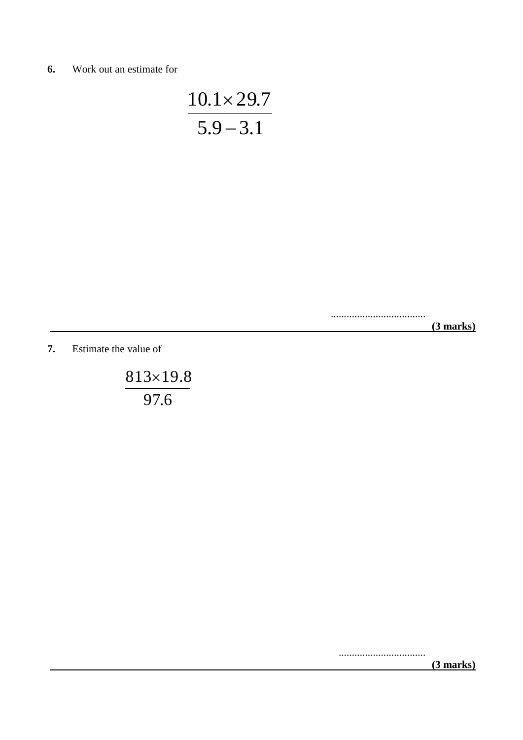**6.** Work out an estimate for

$$
\frac{10.1 \times 29.7}{5.9 - 3.1}
$$

....................................

 **(3 marks)**

**7.** Estimate the value of

97.6  $813\times19.8$ 

.................................

 **(3 marks)**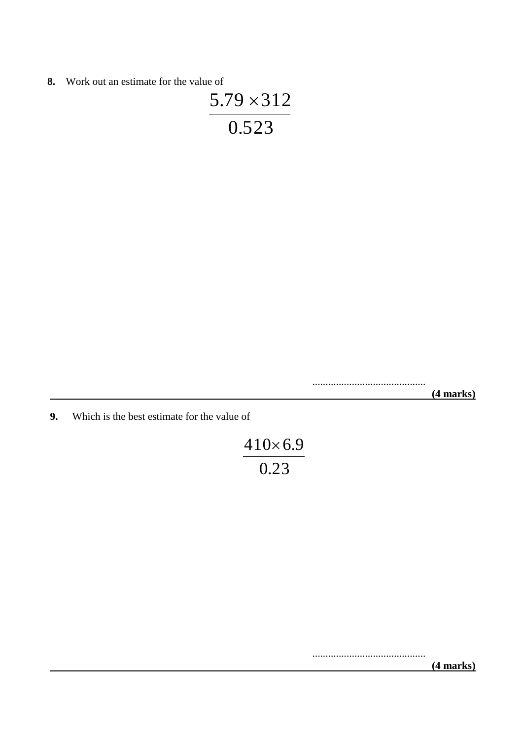**8.** Work out an estimate for the value of

$$
\frac{5.79 \times 312}{0.523}
$$

...........................................  **(4 marks)**

**9.** Which is the best estimate for the value of

$$
\frac{410 \times 6.9}{0.23}
$$

...........................................  **(4 marks)**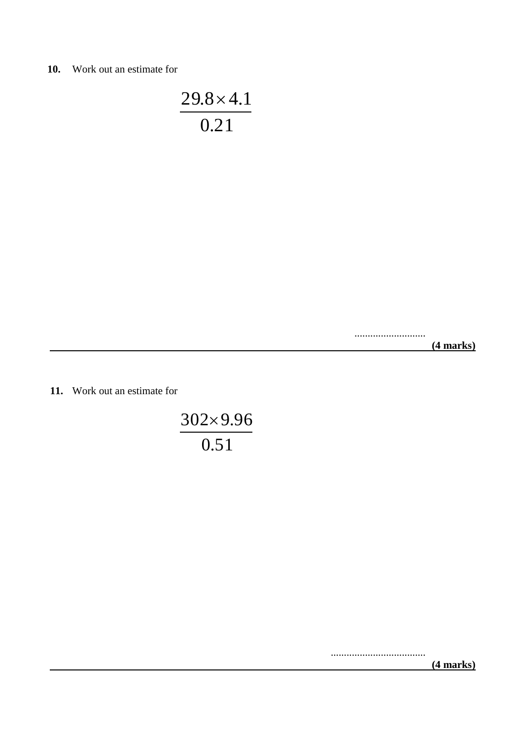**10.** Work out an estimate for

0.21  $29.8 \times 4.1$ 

...........................

 **(4 marks)**

**11.** Work out an estimate for

0.51  $302\times9.96$ 

....................................

 **(4 marks)**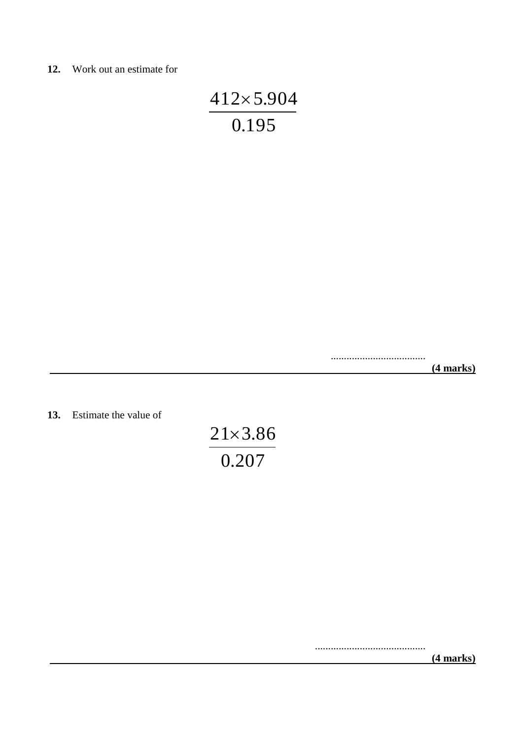#### **12.** Work out an estimate for

$$
\frac{412\times5.904}{0.195}
$$

....................................  **(4 marks)**

**13.** Estimate the value of

0.207  $21 \times 3.86$ 

> ..........................................  **(4 marks)**